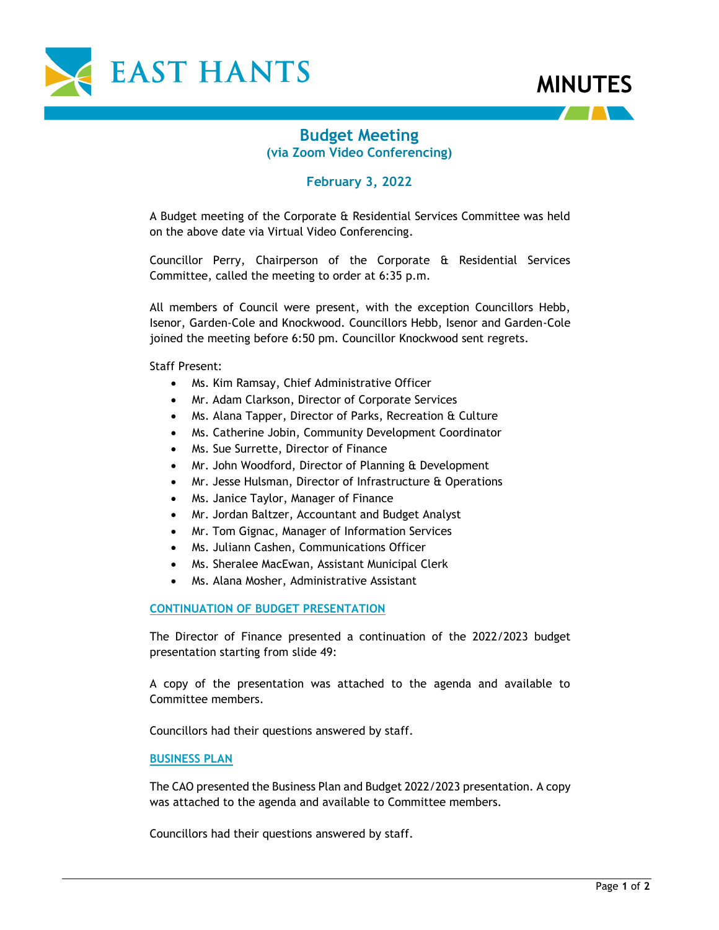



## **Budget Meeting (via Zoom Video Conferencing)**

## **February 3, 2022**

A Budget meeting of the Corporate & Residential Services Committee was held on the above date via Virtual Video Conferencing.

Councillor Perry, Chairperson of the Corporate & Residential Services Committee, called the meeting to order at 6:35 p.m.

All members of Council were present, with the exception Councillors Hebb, Isenor, Garden-Cole and Knockwood. Councillors Hebb, Isenor and Garden-Cole joined the meeting before 6:50 pm. Councillor Knockwood sent regrets.

Staff Present:

- Ms. Kim Ramsay, Chief Administrative Officer
- Mr. Adam Clarkson, Director of Corporate Services
- Ms. Alana Tapper, Director of Parks, Recreation & Culture
- Ms. Catherine Jobin, Community Development Coordinator
- Ms. Sue Surrette, Director of Finance
- Mr. John Woodford, Director of Planning & Development
- Mr. Jesse Hulsman, Director of Infrastructure & Operations
- Ms. Janice Taylor, Manager of Finance
- Mr. Jordan Baltzer, Accountant and Budget Analyst
- Mr. Tom Gignac, Manager of Information Services
- Ms. Juliann Cashen, Communications Officer
- Ms. Sheralee MacEwan, Assistant Municipal Clerk
- Ms. Alana Mosher, Administrative Assistant

**CONTINUATION OF BUDGET PRESENTATION**

The Director of Finance presented a continuation of the 2022/2023 budget presentation starting from slide 49:

A copy of the presentation was attached to the agenda and available to Committee members.

Councillors had their questions answered by staff.

### **BUSINESS PLAN**

The CAO presented the Business Plan and Budget 2022/2023 presentation. A copy was attached to the agenda and available to Committee members.

Councillors had their questions answered by staff.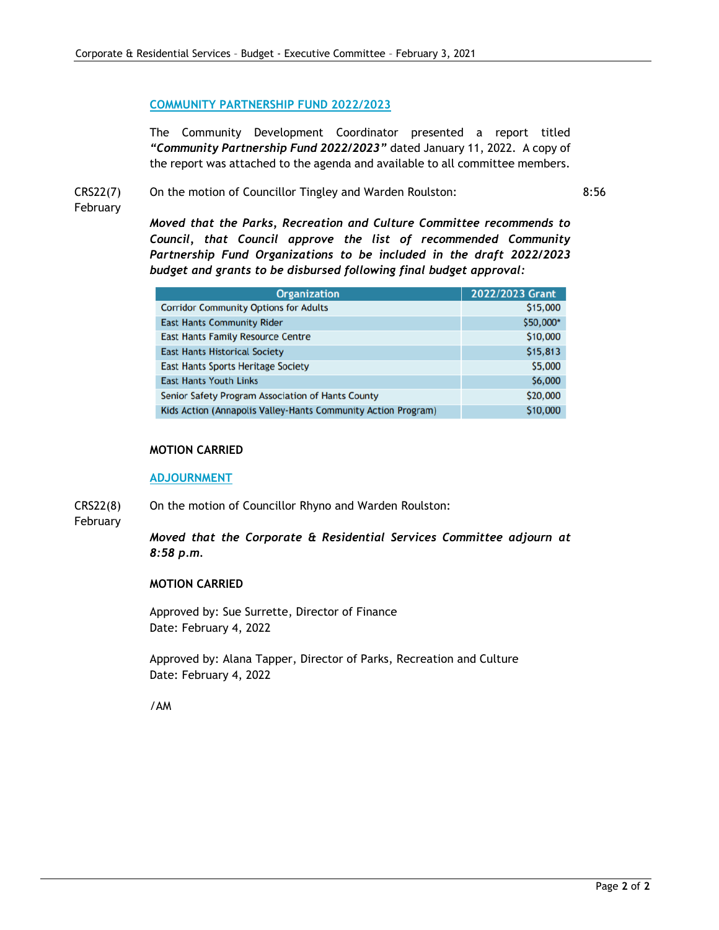### **COMMUNITY PARTNERSHIP FUND 2022/2023**

The Community Development Coordinator presented a report titled *"Community Partnership Fund 2022/2023"* dated January 11, 2022. A copy of the report was attached to the agenda and available to all committee members.

CRS22(7)

On the motion of Councillor Tingley and Warden Roulston:

8:56

February

*Moved that the Parks, Recreation and Culture Committee recommends to Council, that Council approve the list of recommended Community Partnership Fund Organizations to be included in the draft 2022/2023 budget and grants to be disbursed following final budget approval:*

| <b>Organization</b>                                           | 2022/2023 Grant |
|---------------------------------------------------------------|-----------------|
| <b>Corridor Community Options for Adults</b>                  | \$15,000        |
| <b>East Hants Community Rider</b>                             | \$50,000*       |
| <b>East Hants Family Resource Centre</b>                      | \$10,000        |
| <b>East Hants Historical Society</b>                          | \$15,813        |
| <b>East Hants Sports Heritage Society</b>                     | \$5,000         |
| <b>East Hants Youth Links</b>                                 | \$6,000         |
| Senior Safety Program Association of Hants County             | \$20,000        |
| Kids Action (Annapolis Valley-Hants Community Action Program) | \$10,000        |

### **MOTION CARRIED**

#### **ADJOURNMENT**

CRS22(8) On the motion of Councillor Rhyno and Warden Roulston:

February

*Moved that the Corporate & Residential Services Committee adjourn at 8:58 p.m.*

### **MOTION CARRIED**

Approved by: Sue Surrette, Director of Finance Date: February 4, 2022

Approved by: Alana Tapper, Director of Parks, Recreation and Culture Date: February 4, 2022

/AM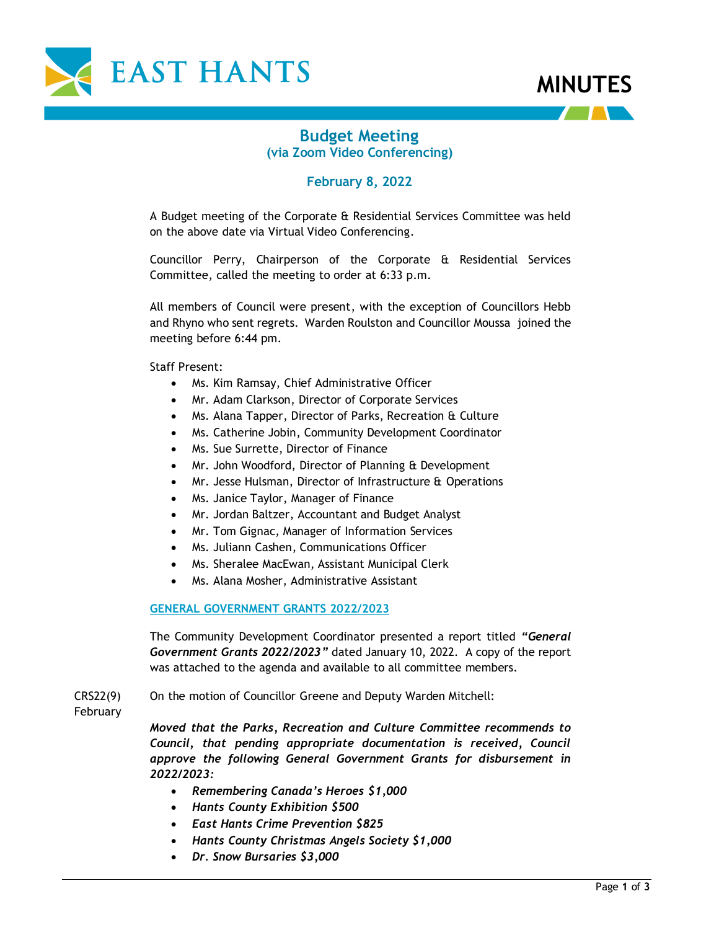



# **Budget Meeting (via Zoom Video Conferencing)**

## **February 8, 2022**

A Budget meeting of the Corporate & Residential Services Committee was held on the above date via Virtual Video Conferencing.

Councillor Perry, Chairperson of the Corporate & Residential Services Committee, called the meeting to order at 6:33 p.m.

All members of Council were present, with the exception of Councillors Hebb and Rhyno who sent regrets. Warden Roulston and Councillor Moussa joined the meeting before 6:44 pm.

Staff Present:

- Ms. Kim Ramsay, Chief Administrative Officer
- Mr. Adam Clarkson, Director of Corporate Services
- Ms. Alana Tapper, Director of Parks, Recreation & Culture
- Ms. Catherine Jobin, Community Development Coordinator
- Ms. Sue Surrette, Director of Finance
- Mr. John Woodford, Director of Planning & Development
- Mr. Jesse Hulsman, Director of Infrastructure & Operations
- Ms. Janice Taylor, Manager of Finance
- Mr. Jordan Baltzer, Accountant and Budget Analyst
- Mr. Tom Gignac, Manager of Information Services
- Ms. Juliann Cashen, Communications Officer
- Ms. Sheralee MacEwan, Assistant Municipal Clerk
- Ms. Alana Mosher, Administrative Assistant

### **GENERAL GOVERNMENT GRANTS 2022/2023**

The Community Development Coordinator presented a report titled *"General Government Grants 2022/2023"* dated January 10, 2022. A copy of the report was attached to the agenda and available to all committee members.

CRS22(9) On the motion of Councillor Greene and Deputy Warden Mitchell:

February

*Moved that the Parks, Recreation and Culture Committee recommends to Council, that pending appropriate documentation is received, Council approve the following General Government Grants for disbursement in 2022/2023:* 

- *Remembering Canada's Heroes \$1,000*
- *Hants County Exhibition \$500*
- *East Hants Crime Prevention \$825*
- *Hants County Christmas Angels Society \$1,000*
- *Dr. Snow Bursaries \$3,000*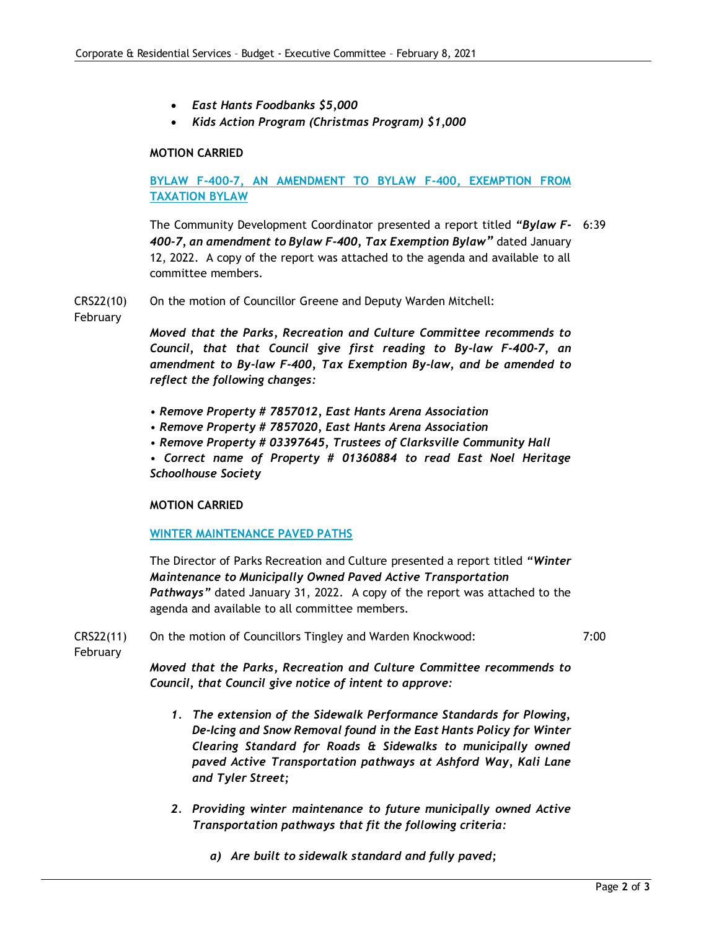- *East Hants Foodbanks \$5,000*
- *Kids Action Program (Christmas Program) \$1,000*

### **MOTION CARRIED**

### **BYLAW F-400-7, AN AMENDMENT TO BYLAW F-400, EXEMPTION FROM TAXATION BYLAW**

The Community Development Coordinator presented a report titled *"Bylaw F-*6:39 *400-7, an amendment to Bylaw F-400, Tax Exemption Bylaw"* dated January 12, 2022. A copy of the report was attached to the agenda and available to all committee members.

CRS22(10) On the motion of Councillor Greene and Deputy Warden Mitchell:

February

*Moved that the Parks, Recreation and Culture Committee recommends to Council, that that Council give first reading to By-law F-400-7, an amendment to By-law F-400, Tax Exemption By-law, and be amended to reflect the following changes:*

- *Remove Property # 7857012, East Hants Arena Association*
- *Remove Property # 7857020, East Hants Arena Association*
- *Remove Property # 03397645, Trustees of Clarksville Community Hall*

*• Correct name of Property # 01360884 to read East Noel Heritage Schoolhouse Society*

### **MOTION CARRIED**

### **WINTER MAINTENANCE PAVED PATHS**

The Director of Parks Recreation and Culture presented a report titled *"Winter Maintenance to Municipally Owned Paved Active Transportation Pathways"* dated January 31, 2022. A copy of the report was attached to the agenda and available to all committee members.

CRS22(11) On the motion of Councillors Tingley and Warden Knockwood: 7:00

February

*Moved that the Parks, Recreation and Culture Committee recommends to Council, that Council give notice of intent to approve:*

- *1. The extension of the Sidewalk Performance Standards for Plowing, De-Icing and Snow Removal found in the East Hants Policy for Winter Clearing Standard for Roads & Sidewalks to municipally owned paved Active Transportation pathways at Ashford Way, Kali Lane and Tyler Street;*
- *2. Providing winter maintenance to future municipally owned Active Transportation pathways that fit the following criteria:*
	- *a) Are built to sidewalk standard and fully paved;*